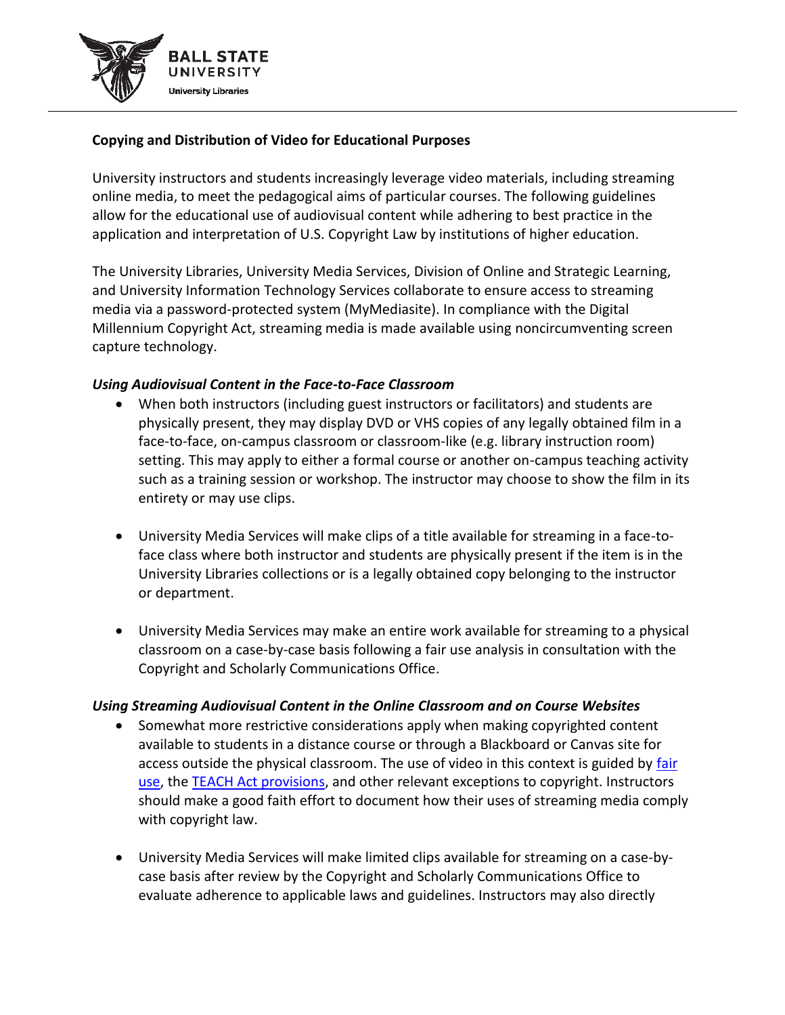

## **Copying and Distribution of Video for Educational Purposes**

University instructors and students increasingly leverage video materials, including streaming online media, to meet the pedagogical aims of particular courses. The following guidelines allow for the educational use of audiovisual content while adhering to best practice in the application and interpretation of U.S. Copyright Law by institutions of higher education.

The University Libraries, University Media Services, Division of Online and Strategic Learning, and University Information Technology Services collaborate to ensure access to streaming media via a password-protected system (MyMediasite). In compliance with the Digital Millennium Copyright Act, streaming media is made available using noncircumventing screen capture technology.

## *Using Audiovisual Content in the Face-to-Face Classroom*

- When both instructors (including guest instructors or facilitators) and students are physically present, they may display DVD or VHS copies of any legally obtained film in a face-to-face, on-campus classroom or classroom-like (e.g. library instruction room) setting. This may apply to either a formal course or another on-campus teaching activity such as a training session or workshop. The instructor may choose to show the film in its entirety or may use clips.
- University Media Services will make clips of a title available for streaming in a face-toface class where both instructor and students are physically present if the item is in the University Libraries collections or is a legally obtained copy belonging to the instructor or department.
- University Media Services may make an entire work available for streaming to a physical classroom on a case-by-case basis following a fair use analysis in consultation with the Copyright and Scholarly Communications Office.

## *Using Streaming Audiovisual Content in the Online Classroom and on Course Websites*

- Somewhat more restrictive considerations apply when making copyrighted content available to students in a distance course or through a Blackboard or Canvas site for access outside the physical classroom. The use of video in this context is guided by fair [use,](https://bsu.libguides.com/copyrightintroduction/fairuse) th[e TEACH Act provisions,](https://bsu.libguides.com/classroomcopyright) and other relevant exceptions to copyright. Instructors should make a good faith effort to document how their uses of streaming media comply with copyright law.
- University Media Services will make limited clips available for streaming on a case-bycase basis after review by the Copyright and Scholarly Communications Office to evaluate adherence to applicable laws and guidelines. Instructors may also directly